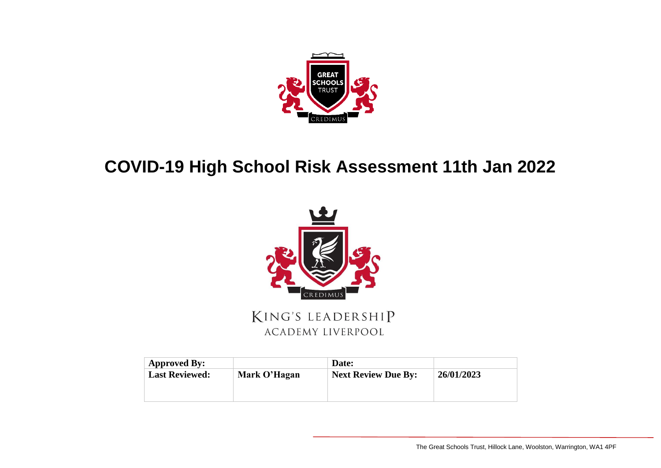

## **COVID-19 High School Risk Assessment 11th Jan 2022**



KING'S LEADERSHIP **ACADEMY LIVERPOOL** 

| Approved By:          |              | Date:                      |            |
|-----------------------|--------------|----------------------------|------------|
| <b>Last Reviewed:</b> | Mark O'Hagan | <b>Next Review Due By:</b> | 26/01/2023 |
|                       |              |                            |            |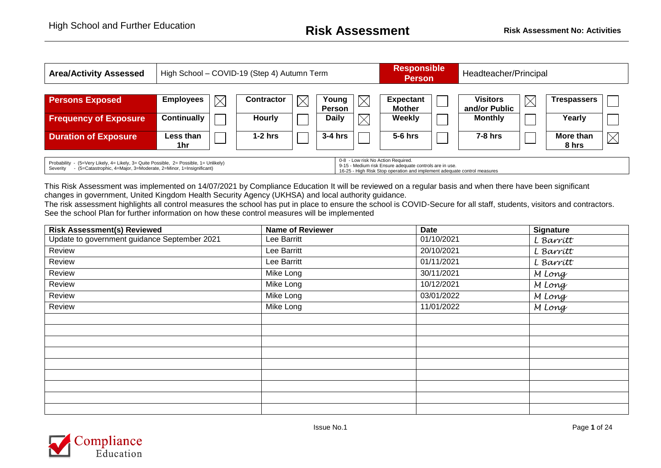| <b>Area/Activity Assessed</b>                                                                                                                                                                                                                                                                                                                       |                    | High School - COVID-19 (Step 4) Autumn Term |                   |             |                               |             |                         |  | Headteacher/Principal           |             |                                   |
|-----------------------------------------------------------------------------------------------------------------------------------------------------------------------------------------------------------------------------------------------------------------------------------------------------------------------------------------------------|--------------------|---------------------------------------------|-------------------|-------------|-------------------------------|-------------|-------------------------|--|---------------------------------|-------------|-----------------------------------|
| <b>Persons Exposed</b>                                                                                                                                                                                                                                                                                                                              | <b>Employees</b>   | $\boxtimes$                                 | <b>Contractor</b> | $\boxtimes$ | Young                         |             | <b>Expectant</b>        |  | <b>Visitors</b>                 | $\boxtimes$ | <b>Trespassers</b>                |
| <b>Frequency of Exposure</b>                                                                                                                                                                                                                                                                                                                        | <b>Continually</b> |                                             | <b>Hourly</b>     |             | <b>Person</b><br><b>Daily</b> | $\boxtimes$ | Mother<br><b>Weekly</b> |  | and/or Public<br><b>Monthly</b> |             | Yearly                            |
| <b>Duration of Exposure</b>                                                                                                                                                                                                                                                                                                                         | Less than<br>1hr   |                                             | $1-2$ hrs         |             | $3-4$ hrs                     |             | $5-6$ hrs               |  | $7-8$ hrs                       |             | $\boxtimes$<br>More than<br>8 hrs |
| 0-8 - Low risk No Action Required.<br>Probability - (5=Very Likely, 4= Likely, 3= Quite Possible, 2= Possible, 1= Unlikely)<br>9-15 - Medium risk Ensure adequate controls are in use.<br>- (5=Catastrophic, 4=Major, 3=Moderate, 2=Minor, 1=Insignificant)<br>Severity<br>16-25 - High Risk Stop operation and implement adequate control measures |                    |                                             |                   |             |                               |             |                         |  |                                 |             |                                   |

This Risk Assessment was implemented on 14/07/2021 by Compliance Education It will be reviewed on a regular basis and when there have been significant changes in government, United Kingdom Health Security Agency (UKHSA) and local authority guidance.

The risk assessment highlights all control measures the school has put in place to ensure the school is COVID-Secure for all staff, students, visitors and contractors. See the school Plan for further information on how these control measures will be implemented

| <b>Risk Assessment(s) Reviewed</b>           | <b>Name of Reviewer</b> | <b>Date</b> | <b>Signature</b> |
|----------------------------------------------|-------------------------|-------------|------------------|
| Update to government guidance September 2021 | Lee Barritt             | 01/10/2021  | L Barritt        |
| Review                                       | Lee Barritt             | 20/10/2021  | L Barrítt        |
| Review                                       | Lee Barritt             | 01/11/2021  | L Barritt        |
| Review                                       | Mike Long               | 30/11/2021  | M Long           |
| Review                                       | Mike Long               | 10/12/2021  | M Long           |
| Review                                       | Mike Long               | 03/01/2022  | M Long           |
| Review                                       | Mike Long               | 11/01/2022  | M Long           |
|                                              |                         |             |                  |
|                                              |                         |             |                  |
|                                              |                         |             |                  |
|                                              |                         |             |                  |
|                                              |                         |             |                  |
|                                              |                         |             |                  |
|                                              |                         |             |                  |
|                                              |                         |             |                  |
|                                              |                         |             |                  |

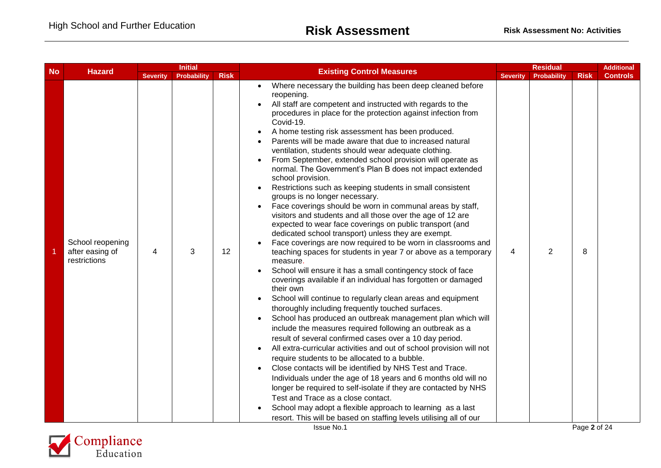| <b>Risk</b><br><b>Severity</b><br><b>Severity</b><br><b>Probability</b><br><b>Risk</b><br><b>Controls</b><br>Probability<br>Where necessary the building has been deep cleaned before<br>reopening.<br>All staff are competent and instructed with regards to the<br>procedures in place for the protection against infection from<br>Covid-19.<br>A home testing risk assessment has been produced.<br>Parents will be made aware that due to increased natural<br>ventilation, students should wear adequate clothing.<br>From September, extended school provision will operate as<br>normal. The Government's Plan B does not impact extended<br>school provision.<br>Restrictions such as keeping students in small consistent<br>groups is no longer necessary.<br>Face coverings should be worn in communal areas by staff,<br>visitors and students and all those over the age of 12 are<br>expected to wear face coverings on public transport (and<br>dedicated school transport) unless they are exempt.<br>School reopening<br>Face coverings are now required to be worn in classrooms and<br>2<br>after easing of<br>12<br>8<br>3<br>teaching spaces for students in year 7 or above as a temporary<br>4<br>4<br>restrictions<br>measure.<br>School will ensure it has a small contingency stock of face<br>coverings available if an individual has forgotten or damaged<br>their own<br>School will continue to regularly clean areas and equipment<br>thoroughly including frequently touched surfaces.<br>School has produced an outbreak management plan which will<br>include the measures required following an outbreak as a<br>result of several confirmed cases over a 10 day period.<br>All extra-curricular activities and out of school provision will not<br>require students to be allocated to a bubble.<br>Close contacts will be identified by NHS Test and Trace.<br>Individuals under the age of 18 years and 6 months old will no<br>longer be required to self-isolate if they are contacted by NHS<br>Test and Trace as a close contact.<br>School may adopt a flexible approach to learning as a last<br>resort. This will be based on staffing levels utilising all of our<br>Page 2 of 24 | <b>No</b><br><b>Hazard</b> |  | <b>Initial</b> |  |                                  |  | <b>Residual</b> |  | <b>Additional</b> |
|-----------------------------------------------------------------------------------------------------------------------------------------------------------------------------------------------------------------------------------------------------------------------------------------------------------------------------------------------------------------------------------------------------------------------------------------------------------------------------------------------------------------------------------------------------------------------------------------------------------------------------------------------------------------------------------------------------------------------------------------------------------------------------------------------------------------------------------------------------------------------------------------------------------------------------------------------------------------------------------------------------------------------------------------------------------------------------------------------------------------------------------------------------------------------------------------------------------------------------------------------------------------------------------------------------------------------------------------------------------------------------------------------------------------------------------------------------------------------------------------------------------------------------------------------------------------------------------------------------------------------------------------------------------------------------------------------------------------------------------------------------------------------------------------------------------------------------------------------------------------------------------------------------------------------------------------------------------------------------------------------------------------------------------------------------------------------------------------------------------------------------------------------------------------------------------------------------------------------------------|----------------------------|--|----------------|--|----------------------------------|--|-----------------|--|-------------------|
|                                                                                                                                                                                                                                                                                                                                                                                                                                                                                                                                                                                                                                                                                                                                                                                                                                                                                                                                                                                                                                                                                                                                                                                                                                                                                                                                                                                                                                                                                                                                                                                                                                                                                                                                                                                                                                                                                                                                                                                                                                                                                                                                                                                                                                   |                            |  |                |  | <b>Existing Control Measures</b> |  |                 |  |                   |
|                                                                                                                                                                                                                                                                                                                                                                                                                                                                                                                                                                                                                                                                                                                                                                                                                                                                                                                                                                                                                                                                                                                                                                                                                                                                                                                                                                                                                                                                                                                                                                                                                                                                                                                                                                                                                                                                                                                                                                                                                                                                                                                                                                                                                                   |                            |  |                |  | Issue No.1                       |  |                 |  |                   |

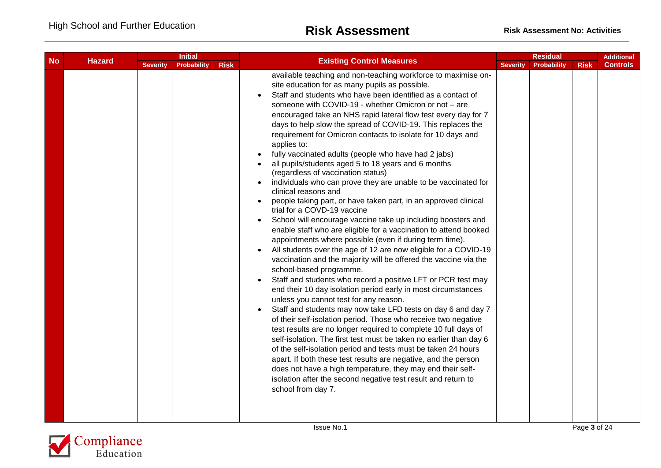|           |               | <b>Severity</b> | <b>Initial</b>     |             |                                                                                                                                                                                                                                                                                                                                                                                                                                                                                                                                                                                                                                                                                                                                                                                                                                                                                                                                                                                                                                                                                                                                                                                                                                                                                                                                                                                                                                                                                                                                                                                                                                                                                                                                                                                                                                                                                                                       | <b>Residual</b> |             |             | <b>Additional</b> |
|-----------|---------------|-----------------|--------------------|-------------|-----------------------------------------------------------------------------------------------------------------------------------------------------------------------------------------------------------------------------------------------------------------------------------------------------------------------------------------------------------------------------------------------------------------------------------------------------------------------------------------------------------------------------------------------------------------------------------------------------------------------------------------------------------------------------------------------------------------------------------------------------------------------------------------------------------------------------------------------------------------------------------------------------------------------------------------------------------------------------------------------------------------------------------------------------------------------------------------------------------------------------------------------------------------------------------------------------------------------------------------------------------------------------------------------------------------------------------------------------------------------------------------------------------------------------------------------------------------------------------------------------------------------------------------------------------------------------------------------------------------------------------------------------------------------------------------------------------------------------------------------------------------------------------------------------------------------------------------------------------------------------------------------------------------------|-----------------|-------------|-------------|-------------------|
| <b>No</b> | <b>Hazard</b> |                 | <b>Probability</b> | <b>Risk</b> | <b>Existing Control Measures</b>                                                                                                                                                                                                                                                                                                                                                                                                                                                                                                                                                                                                                                                                                                                                                                                                                                                                                                                                                                                                                                                                                                                                                                                                                                                                                                                                                                                                                                                                                                                                                                                                                                                                                                                                                                                                                                                                                      | <b>Severity</b> | Probability | <b>Risk</b> | <b>Controls</b>   |
|           |               |                 |                    |             | available teaching and non-teaching workforce to maximise on-<br>site education for as many pupils as possible.<br>Staff and students who have been identified as a contact of<br>someone with COVID-19 - whether Omicron or not - are<br>encouraged take an NHS rapid lateral flow test every day for 7<br>days to help slow the spread of COVID-19. This replaces the<br>requirement for Omicron contacts to isolate for 10 days and<br>applies to:<br>fully vaccinated adults (people who have had 2 jabs)<br>all pupils/students aged 5 to 18 years and 6 months<br>(regardless of vaccination status)<br>individuals who can prove they are unable to be vaccinated for<br>clinical reasons and<br>people taking part, or have taken part, in an approved clinical<br>trial for a COVD-19 vaccine<br>School will encourage vaccine take up including boosters and<br>enable staff who are eligible for a vaccination to attend booked<br>appointments where possible (even if during term time).<br>All students over the age of 12 are now eligible for a COVID-19<br>vaccination and the majority will be offered the vaccine via the<br>school-based programme.<br>Staff and students who record a positive LFT or PCR test may<br>end their 10 day isolation period early in most circumstances<br>unless you cannot test for any reason.<br>Staff and students may now take LFD tests on day 6 and day 7<br>of their self-isolation period. Those who receive two negative<br>test results are no longer required to complete 10 full days of<br>self-isolation. The first test must be taken no earlier than day 6<br>of the self-isolation period and tests must be taken 24 hours<br>apart. If both these test results are negative, and the person<br>does not have a high temperature, they may end their self-<br>isolation after the second negative test result and return to<br>school from day 7. |                 |             |             |                   |

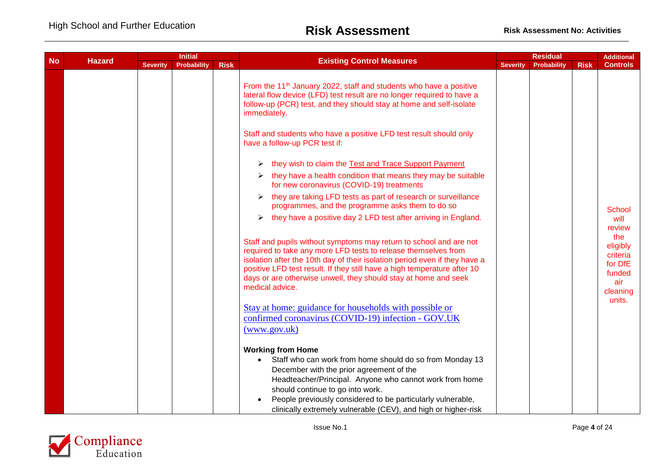|           | <b>Initial</b><br><b>Hazard</b> |             |             |                                                                                                                                                                                                                                                                                                                                                                                      |                 | <b>Residual</b> |             | <b>Additional</b>                                                   |
|-----------|---------------------------------|-------------|-------------|--------------------------------------------------------------------------------------------------------------------------------------------------------------------------------------------------------------------------------------------------------------------------------------------------------------------------------------------------------------------------------------|-----------------|-----------------|-------------|---------------------------------------------------------------------|
| <b>No</b> | <b>Severity</b>                 | Probability | <b>Risk</b> | <b>Existing Control Measures</b>                                                                                                                                                                                                                                                                                                                                                     | <b>Severity</b> | Probability     | <b>Risk</b> | <b>Controls</b>                                                     |
|           |                                 |             |             | From the 11 <sup>th</sup> January 2022, staff and students who have a positive<br>lateral flow device (LFD) test result are no longer required to have a<br>follow-up (PCR) test, and they should stay at home and self-isolate<br>immediately.                                                                                                                                      |                 |                 |             |                                                                     |
|           |                                 |             |             | Staff and students who have a positive LFD test result should only<br>have a follow-up PCR test if:                                                                                                                                                                                                                                                                                  |                 |                 |             |                                                                     |
|           |                                 |             |             | they wish to claim the Test and Trace Support Payment                                                                                                                                                                                                                                                                                                                                |                 |                 |             |                                                                     |
|           |                                 |             |             | they have a health condition that means they may be suitable<br>➤<br>for new coronavirus (COVID-19) treatments                                                                                                                                                                                                                                                                       |                 |                 |             |                                                                     |
|           |                                 |             |             | they are taking LFD tests as part of research or surveillance<br>programmes, and the programme asks them to do so                                                                                                                                                                                                                                                                    |                 |                 |             | <b>School</b>                                                       |
|           |                                 |             |             | they have a positive day 2 LFD test after arriving in England.<br>➤                                                                                                                                                                                                                                                                                                                  |                 |                 |             | will<br>review                                                      |
|           |                                 |             |             | Staff and pupils without symptoms may return to school and are not<br>required to take any more LFD tests to release themselves from<br>isolation after the 10th day of their isolation period even if they have a<br>positive LFD test result. If they still have a high temperature after 10<br>days or are otherwise unwell, they should stay at home and seek<br>medical advice. |                 |                 |             | the<br>eligibly<br>criteria<br>for DfE<br>funded<br>air<br>cleaning |
|           |                                 |             |             | Stay at home: guidance for households with possible or<br>confirmed coronavirus (COVID-19) infection - GOV.UK<br>(www.gov.uk)                                                                                                                                                                                                                                                        |                 |                 |             | units.                                                              |
|           |                                 |             |             | <b>Working from Home</b><br>Staff who can work from home should do so from Monday 13<br>December with the prior agreement of the<br>Headteacher/Principal. Anyone who cannot work from home<br>should continue to go into work.<br>People previously considered to be particularly vulnerable,<br>clinically extremely vulnerable (CEV), and high or higher-risk                     |                 |                 |             |                                                                     |

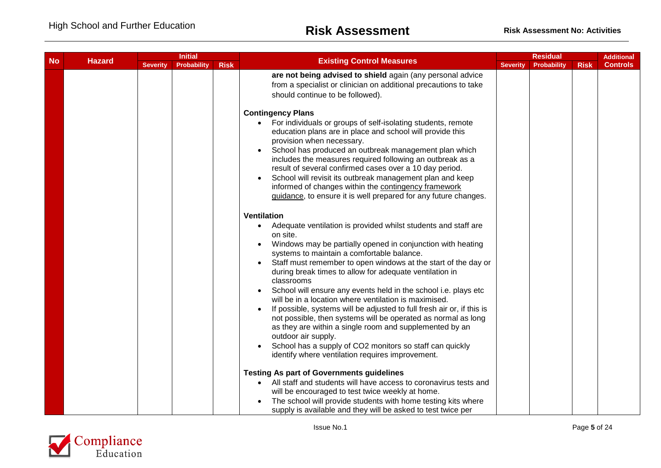|                 | <b>Initial</b> |             |                                                                                                                                                                                                                                                                                                                                                                                                                                                                                                                                                                                                                                                                                                                                                                                                                                                                                                                                                                                                                 | <b>Residual</b>                                                                                                                                           |             |             | <b>Additional</b> |
|-----------------|----------------|-------------|-----------------------------------------------------------------------------------------------------------------------------------------------------------------------------------------------------------------------------------------------------------------------------------------------------------------------------------------------------------------------------------------------------------------------------------------------------------------------------------------------------------------------------------------------------------------------------------------------------------------------------------------------------------------------------------------------------------------------------------------------------------------------------------------------------------------------------------------------------------------------------------------------------------------------------------------------------------------------------------------------------------------|-----------------------------------------------------------------------------------------------------------------------------------------------------------|-------------|-------------|-------------------|
| <b>Severity</b> | Probability    | <b>Risk</b> | <b>Existing Control Measures</b>                                                                                                                                                                                                                                                                                                                                                                                                                                                                                                                                                                                                                                                                                                                                                                                                                                                                                                                                                                                | <b>Severity</b>                                                                                                                                           | Probability | <b>Risk</b> | <b>Controls</b>   |
|                 |                |             | are not being advised to shield again (any personal advice<br>from a specialist or clinician on additional precautions to take<br>should continue to be followed).                                                                                                                                                                                                                                                                                                                                                                                                                                                                                                                                                                                                                                                                                                                                                                                                                                              |                                                                                                                                                           |             |             |                   |
|                 |                |             | For individuals or groups of self-isolating students, remote<br>education plans are in place and school will provide this<br>provision when necessary.<br>School has produced an outbreak management plan which<br>includes the measures required following an outbreak as a<br>result of several confirmed cases over a 10 day period.<br>School will revisit its outbreak management plan and keep<br>informed of changes within the contingency framework<br>guidance, to ensure it is well prepared for any future changes.                                                                                                                                                                                                                                                                                                                                                                                                                                                                                 |                                                                                                                                                           |             |             |                   |
|                 |                |             | <b>Ventilation</b><br>Adequate ventilation is provided whilst students and staff are<br>on site.<br>Windows may be partially opened in conjunction with heating<br>systems to maintain a comfortable balance.<br>Staff must remember to open windows at the start of the day or<br>during break times to allow for adequate ventilation in<br>classrooms<br>School will ensure any events held in the school i.e. plays etc<br>will be in a location where ventilation is maximised.<br>If possible, systems will be adjusted to full fresh air or, if this is<br>not possible, then systems will be operated as normal as long<br>as they are within a single room and supplemented by an<br>outdoor air supply.<br>School has a supply of CO2 monitors so staff can quickly<br>identify where ventilation requires improvement.<br><b>Testing As part of Governments guidelines</b><br>• All staff and students will have access to coronavirus tests and<br>will be encouraged to test twice weekly at home. |                                                                                                                                                           |             |             |                   |
|                 |                |             |                                                                                                                                                                                                                                                                                                                                                                                                                                                                                                                                                                                                                                                                                                                                                                                                                                                                                                                                                                                                                 | <b>Contingency Plans</b><br>The school will provide students with home testing kits where<br>supply is available and they will be asked to test twice per |             |             |                   |

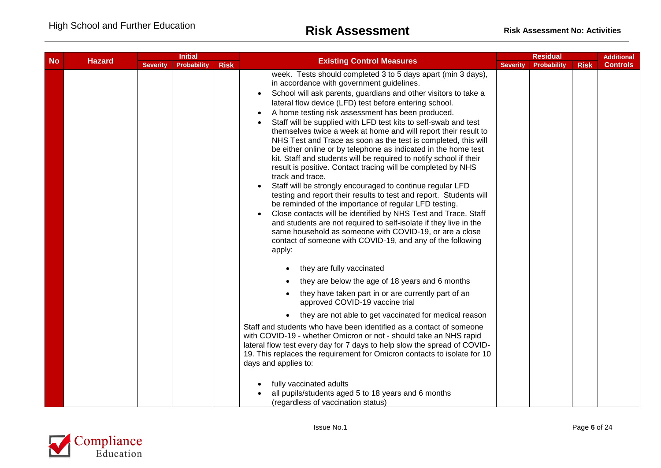| <b>No</b><br><b>Hazard</b> |  | <b>Initial</b>  |                    |             |                                                                                                                                                                                                                                                                                                                                                                                                                                                                                                                                                                                                                                                                                                                                                                                                                                                                                                                                                                                                                                                                                                                                                                                                       | <b>Residual</b> |                    | <b>Additional</b> |                 |
|----------------------------|--|-----------------|--------------------|-------------|-------------------------------------------------------------------------------------------------------------------------------------------------------------------------------------------------------------------------------------------------------------------------------------------------------------------------------------------------------------------------------------------------------------------------------------------------------------------------------------------------------------------------------------------------------------------------------------------------------------------------------------------------------------------------------------------------------------------------------------------------------------------------------------------------------------------------------------------------------------------------------------------------------------------------------------------------------------------------------------------------------------------------------------------------------------------------------------------------------------------------------------------------------------------------------------------------------|-----------------|--------------------|-------------------|-----------------|
|                            |  | <b>Severity</b> | <b>Probability</b> | <b>Risk</b> | <b>Existing Control Measures</b>                                                                                                                                                                                                                                                                                                                                                                                                                                                                                                                                                                                                                                                                                                                                                                                                                                                                                                                                                                                                                                                                                                                                                                      | <b>Severity</b> | <b>Probability</b> | <b>Risk</b>       | <b>Controls</b> |
|                            |  |                 |                    |             | week. Tests should completed 3 to 5 days apart (min 3 days),<br>in accordance with government guidelines.<br>School will ask parents, guardians and other visitors to take a<br>lateral flow device (LFD) test before entering school.<br>A home testing risk assessment has been produced.<br>Staff will be supplied with LFD test kits to self-swab and test<br>themselves twice a week at home and will report their result to<br>NHS Test and Trace as soon as the test is completed, this will<br>be either online or by telephone as indicated in the home test<br>kit. Staff and students will be required to notify school if their<br>result is positive. Contact tracing will be completed by NHS<br>track and trace.<br>Staff will be strongly encouraged to continue regular LFD<br>testing and report their results to test and report. Students will<br>be reminded of the importance of regular LFD testing.<br>Close contacts will be identified by NHS Test and Trace. Staff<br>and students are not required to self-isolate if they live in the<br>same household as someone with COVID-19, or are a close<br>contact of someone with COVID-19, and any of the following<br>apply: |                 |                    |                   |                 |
|                            |  |                 |                    |             | they are fully vaccinated                                                                                                                                                                                                                                                                                                                                                                                                                                                                                                                                                                                                                                                                                                                                                                                                                                                                                                                                                                                                                                                                                                                                                                             |                 |                    |                   |                 |
|                            |  |                 |                    |             | they are below the age of 18 years and 6 months                                                                                                                                                                                                                                                                                                                                                                                                                                                                                                                                                                                                                                                                                                                                                                                                                                                                                                                                                                                                                                                                                                                                                       |                 |                    |                   |                 |
|                            |  |                 |                    |             | they have taken part in or are currently part of an<br>approved COVID-19 vaccine trial                                                                                                                                                                                                                                                                                                                                                                                                                                                                                                                                                                                                                                                                                                                                                                                                                                                                                                                                                                                                                                                                                                                |                 |                    |                   |                 |
|                            |  |                 |                    |             | they are not able to get vaccinated for medical reason                                                                                                                                                                                                                                                                                                                                                                                                                                                                                                                                                                                                                                                                                                                                                                                                                                                                                                                                                                                                                                                                                                                                                |                 |                    |                   |                 |
|                            |  |                 |                    |             | Staff and students who have been identified as a contact of someone<br>with COVID-19 - whether Omicron or not - should take an NHS rapid<br>lateral flow test every day for 7 days to help slow the spread of COVID-<br>19. This replaces the requirement for Omicron contacts to isolate for 10<br>days and applies to:                                                                                                                                                                                                                                                                                                                                                                                                                                                                                                                                                                                                                                                                                                                                                                                                                                                                              |                 |                    |                   |                 |
|                            |  |                 |                    |             | fully vaccinated adults<br>all pupils/students aged 5 to 18 years and 6 months<br>(regardless of vaccination status)                                                                                                                                                                                                                                                                                                                                                                                                                                                                                                                                                                                                                                                                                                                                                                                                                                                                                                                                                                                                                                                                                  |                 |                    |                   |                 |

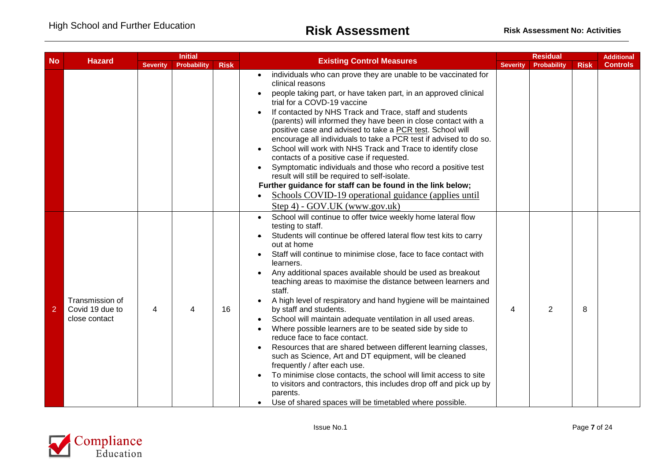| <b>No</b><br><b>Hazard</b> |                                                     | <b>Initial</b>  |                    |             | <b>Existing Control Measures</b>                                                                                                                                                                                                                                                                                                                                                                                                                                                                                                                                                                                                                                                                                                                                                                                                                                                                                                                                                                                                                                     |                 | <b>Residual</b>    |             | <b>Additional</b> |
|----------------------------|-----------------------------------------------------|-----------------|--------------------|-------------|----------------------------------------------------------------------------------------------------------------------------------------------------------------------------------------------------------------------------------------------------------------------------------------------------------------------------------------------------------------------------------------------------------------------------------------------------------------------------------------------------------------------------------------------------------------------------------------------------------------------------------------------------------------------------------------------------------------------------------------------------------------------------------------------------------------------------------------------------------------------------------------------------------------------------------------------------------------------------------------------------------------------------------------------------------------------|-----------------|--------------------|-------------|-------------------|
|                            |                                                     | <b>Severity</b> | <b>Probability</b> | <b>Risk</b> |                                                                                                                                                                                                                                                                                                                                                                                                                                                                                                                                                                                                                                                                                                                                                                                                                                                                                                                                                                                                                                                                      | <b>Severity</b> | <b>Probability</b> | <b>Risk</b> | <b>Controls</b>   |
|                            |                                                     |                 |                    |             | individuals who can prove they are unable to be vaccinated for<br>clinical reasons<br>people taking part, or have taken part, in an approved clinical<br>trial for a COVD-19 vaccine<br>If contacted by NHS Track and Trace, staff and students<br>(parents) will informed they have been in close contact with a<br>positive case and advised to take a PCR test. School will<br>encourage all individuals to take a PCR test if advised to do so.<br>School will work with NHS Track and Trace to identify close<br>contacts of a positive case if requested.<br>Symptomatic individuals and those who record a positive test<br>result will still be required to self-isolate.<br>Further guidance for staff can be found in the link below;<br>Schools COVID-19 operational guidance (applies until                                                                                                                                                                                                                                                              |                 |                    |             |                   |
| $\overline{2}$             | Transmission of<br>Covid 19 due to<br>close contact | 4               | 4                  | 16          | Step 4) - GOV.UK (www.gov.uk)<br>School will continue to offer twice weekly home lateral flow<br>testing to staff.<br>Students will continue be offered lateral flow test kits to carry<br>out at home<br>Staff will continue to minimise close, face to face contact with<br>learners.<br>Any additional spaces available should be used as breakout<br>teaching areas to maximise the distance between learners and<br>staff.<br>A high level of respiratory and hand hygiene will be maintained<br>by staff and students.<br>School will maintain adequate ventilation in all used areas.<br>Where possible learners are to be seated side by side to<br>reduce face to face contact.<br>Resources that are shared between different learning classes,<br>such as Science, Art and DT equipment, will be cleaned<br>frequently / after each use.<br>To minimise close contacts, the school will limit access to site<br>to visitors and contractors, this includes drop off and pick up by<br>parents.<br>Use of shared spaces will be timetabled where possible. | 4               | 2                  | 8           |                   |

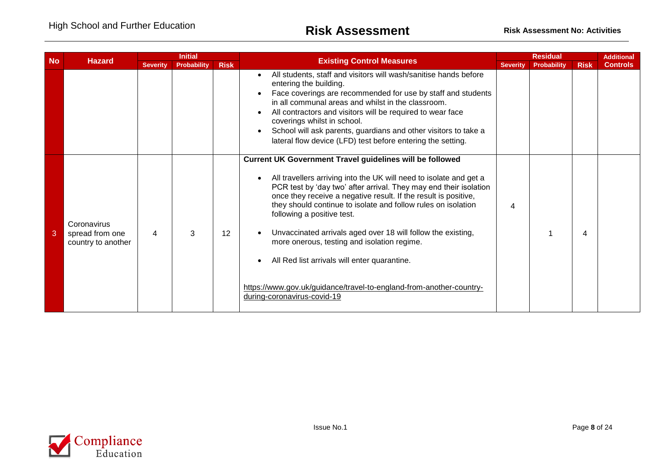| <b>No</b> | <b>Hazard</b>                                        | <b>Initial</b>  |                    |                   | <b>Existing Control Measures</b>                                                                                                                                                                                                                                                                                                                                                                                                                                                                                                                                                                                                                  |                 | <b>Residual</b>    |             |                 |
|-----------|------------------------------------------------------|-----------------|--------------------|-------------------|---------------------------------------------------------------------------------------------------------------------------------------------------------------------------------------------------------------------------------------------------------------------------------------------------------------------------------------------------------------------------------------------------------------------------------------------------------------------------------------------------------------------------------------------------------------------------------------------------------------------------------------------------|-----------------|--------------------|-------------|-----------------|
|           |                                                      | <b>Severity</b> | <b>Probability</b> | <b>Risk</b>       |                                                                                                                                                                                                                                                                                                                                                                                                                                                                                                                                                                                                                                                   | <b>Severity</b> | <b>Probability</b> | <b>Risk</b> | <b>Controls</b> |
|           |                                                      |                 |                    |                   | All students, staff and visitors will wash/sanitise hands before<br>entering the building.<br>Face coverings are recommended for use by staff and students<br>in all communal areas and whilst in the classroom.<br>All contractors and visitors will be required to wear face<br>coverings whilst in school.<br>School will ask parents, guardians and other visitors to take a<br>lateral flow device (LFD) test before entering the setting.                                                                                                                                                                                                   |                 |                    |             |                 |
| 3         | Coronavirus<br>spread from one<br>country to another | 4               | 3                  | $12 \overline{ }$ | <b>Current UK Government Travel guidelines will be followed</b><br>All travellers arriving into the UK will need to isolate and get a<br>PCR test by 'day two' after arrival. They may end their isolation<br>once they receive a negative result. If the result is positive,<br>they should continue to isolate and follow rules on isolation<br>following a positive test.<br>Unvaccinated arrivals aged over 18 will follow the existing,<br>more onerous, testing and isolation regime.<br>All Red list arrivals will enter quarantine.<br>https://www.gov.uk/guidance/travel-to-england-from-another-country-<br>during-coronavirus-covid-19 | 4               |                    | 4           |                 |

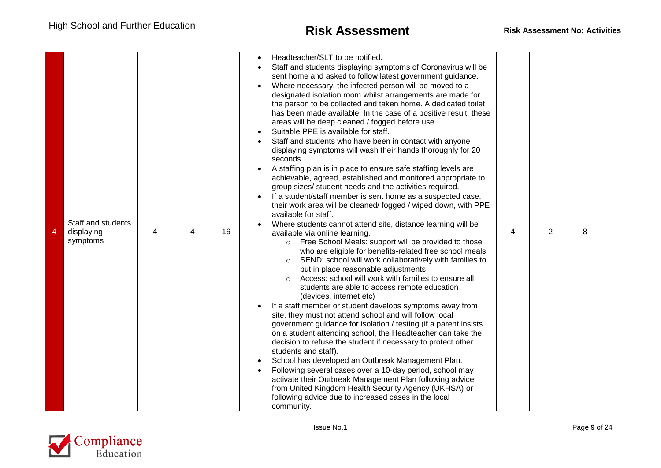| 4 | Staff and students<br>displaying<br>symptoms | 4 | 4 | 16 | Headteacher/SLT to be notified.<br>Staff and students displaying symptoms of Coronavirus will be<br>sent home and asked to follow latest government guidance.<br>Where necessary, the infected person will be moved to a<br>designated isolation room whilst arrangements are made for<br>the person to be collected and taken home. A dedicated toilet<br>has been made available. In the case of a positive result, these<br>areas will be deep cleaned / fogged before use.<br>Suitable PPE is available for staff.<br>Staff and students who have been in contact with anyone<br>displaying symptoms will wash their hands thoroughly for 20<br>seconds.<br>A staffing plan is in place to ensure safe staffing levels are<br>achievable, agreed, established and monitored appropriate to<br>group sizes/ student needs and the activities required.<br>If a student/staff member is sent home as a suspected case,<br>their work area will be cleaned/ fogged / wiped down, with PPE<br>available for staff.<br>Where students cannot attend site, distance learning will be<br>available via online learning.<br>Free School Meals: support will be provided to those<br>$\circ$<br>who are eligible for benefits-related free school meals<br>SEND: school will work collaboratively with families to<br>$\circ$<br>put in place reasonable adjustments<br>Access: school will work with families to ensure all<br>$\circ$<br>students are able to access remote education<br>(devices, internet etc)<br>If a staff member or student develops symptoms away from<br>site, they must not attend school and will follow local<br>government guidance for isolation / testing (if a parent insists<br>on a student attending school, the Headteacher can take the<br>decision to refuse the student if necessary to protect other<br>students and staff).<br>School has developed an Outbreak Management Plan.<br>Following several cases over a 10-day period, school may<br>activate their Outbreak Management Plan following advice<br>from United Kingdom Health Security Agency (UKHSA) or<br>following advice due to increased cases in the local<br>community. | 4 | $\overline{2}$ | 8 |  |
|---|----------------------------------------------|---|---|----|-----------------------------------------------------------------------------------------------------------------------------------------------------------------------------------------------------------------------------------------------------------------------------------------------------------------------------------------------------------------------------------------------------------------------------------------------------------------------------------------------------------------------------------------------------------------------------------------------------------------------------------------------------------------------------------------------------------------------------------------------------------------------------------------------------------------------------------------------------------------------------------------------------------------------------------------------------------------------------------------------------------------------------------------------------------------------------------------------------------------------------------------------------------------------------------------------------------------------------------------------------------------------------------------------------------------------------------------------------------------------------------------------------------------------------------------------------------------------------------------------------------------------------------------------------------------------------------------------------------------------------------------------------------------------------------------------------------------------------------------------------------------------------------------------------------------------------------------------------------------------------------------------------------------------------------------------------------------------------------------------------------------------------------------------------------------------------------------------------------------------------------------------------------------------------|---|----------------|---|--|

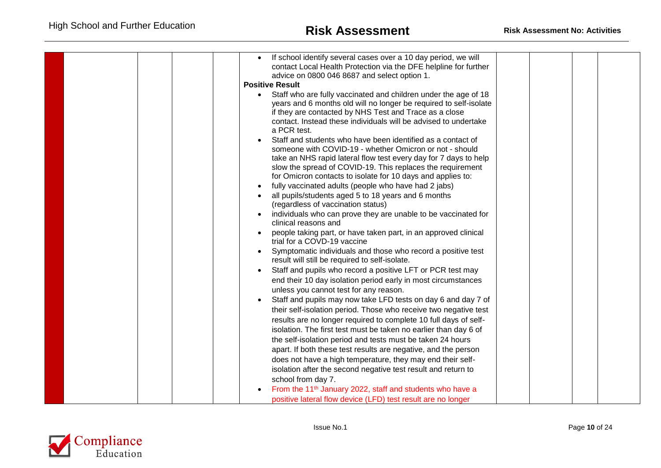|  | If school identify several cases over a 10 day period, we will<br>contact Local Health Protection via the DFE helpline for further<br>advice on 0800 046 8687 and select option 1.<br><b>Positive Result</b><br>Staff who are fully vaccinated and children under the age of 18<br>$\bullet$<br>years and 6 months old will no longer be required to self-isolate<br>if they are contacted by NHS Test and Trace as a close<br>contact. Instead these individuals will be advised to undertake<br>a PCR test.<br>Staff and students who have been identified as a contact of<br>someone with COVID-19 - whether Omicron or not - should<br>take an NHS rapid lateral flow test every day for 7 days to help<br>slow the spread of COVID-19. This replaces the requirement<br>for Omicron contacts to isolate for 10 days and applies to:<br>fully vaccinated adults (people who have had 2 jabs)<br>all pupils/students aged 5 to 18 years and 6 months<br>(regardless of vaccination status)<br>individuals who can prove they are unable to be vaccinated for<br>clinical reasons and<br>people taking part, or have taken part, in an approved clinical<br>trial for a COVD-19 vaccine<br>Symptomatic individuals and those who record a positive test<br>result will still be required to self-isolate.<br>Staff and pupils who record a positive LFT or PCR test may<br>end their 10 day isolation period early in most circumstances<br>unless you cannot test for any reason.<br>Staff and pupils may now take LFD tests on day 6 and day 7 of<br>their self-isolation period. Those who receive two negative test<br>results are no longer required to complete 10 full days of self-<br>isolation. The first test must be taken no earlier than day 6 of<br>the self-isolation period and tests must be taken 24 hours<br>apart. If both these test results are negative, and the person<br>does not have a high temperature, they may end their self-<br>isolation after the second negative test result and return to |  |
|--|----------------------------------------------------------------------------------------------------------------------------------------------------------------------------------------------------------------------------------------------------------------------------------------------------------------------------------------------------------------------------------------------------------------------------------------------------------------------------------------------------------------------------------------------------------------------------------------------------------------------------------------------------------------------------------------------------------------------------------------------------------------------------------------------------------------------------------------------------------------------------------------------------------------------------------------------------------------------------------------------------------------------------------------------------------------------------------------------------------------------------------------------------------------------------------------------------------------------------------------------------------------------------------------------------------------------------------------------------------------------------------------------------------------------------------------------------------------------------------------------------------------------------------------------------------------------------------------------------------------------------------------------------------------------------------------------------------------------------------------------------------------------------------------------------------------------------------------------------------------------------------------------------------------------------------------------------------------------------------------------------------------------------------|--|
|  | school from day 7.                                                                                                                                                                                                                                                                                                                                                                                                                                                                                                                                                                                                                                                                                                                                                                                                                                                                                                                                                                                                                                                                                                                                                                                                                                                                                                                                                                                                                                                                                                                                                                                                                                                                                                                                                                                                                                                                                                                                                                                                               |  |
|  | From the 11 <sup>th</sup> January 2022, staff and students who have a<br>positive lateral flow device (LFD) test result are no longer                                                                                                                                                                                                                                                                                                                                                                                                                                                                                                                                                                                                                                                                                                                                                                                                                                                                                                                                                                                                                                                                                                                                                                                                                                                                                                                                                                                                                                                                                                                                                                                                                                                                                                                                                                                                                                                                                            |  |
|  |                                                                                                                                                                                                                                                                                                                                                                                                                                                                                                                                                                                                                                                                                                                                                                                                                                                                                                                                                                                                                                                                                                                                                                                                                                                                                                                                                                                                                                                                                                                                                                                                                                                                                                                                                                                                                                                                                                                                                                                                                                  |  |

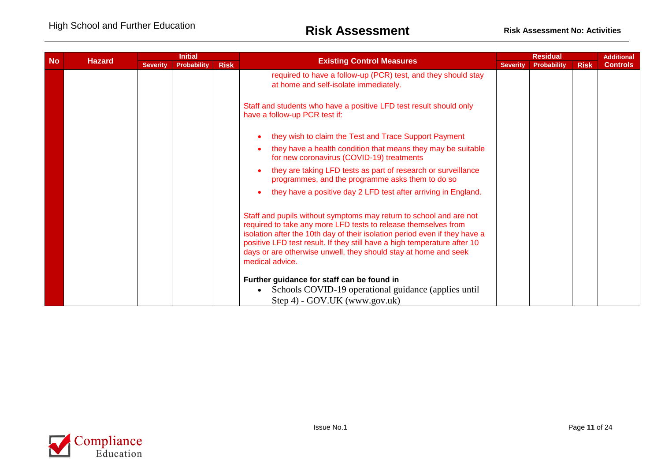| <b>No</b> | <b>Hazard</b> | <b>Initial</b>  |             | <b>Existing Control Measures</b> |                                                                                                                                                                                                                                                                                                                                                                                      |                 | <b>Residual</b>    |             | <b>Additional</b> |
|-----------|---------------|-----------------|-------------|----------------------------------|--------------------------------------------------------------------------------------------------------------------------------------------------------------------------------------------------------------------------------------------------------------------------------------------------------------------------------------------------------------------------------------|-----------------|--------------------|-------------|-------------------|
|           |               | <b>Severity</b> | Probability | <b>Risk</b>                      |                                                                                                                                                                                                                                                                                                                                                                                      | <b>Severity</b> | <b>Probability</b> | <b>Risk</b> | <b>Controls</b>   |
|           |               |                 |             |                                  | required to have a follow-up (PCR) test, and they should stay<br>at home and self-isolate immediately.                                                                                                                                                                                                                                                                               |                 |                    |             |                   |
|           |               |                 |             |                                  | Staff and students who have a positive LFD test result should only<br>have a follow-up PCR test if:                                                                                                                                                                                                                                                                                  |                 |                    |             |                   |
|           |               |                 |             |                                  | they wish to claim the Test and Trace Support Payment                                                                                                                                                                                                                                                                                                                                |                 |                    |             |                   |
|           |               |                 |             |                                  | they have a health condition that means they may be suitable<br>for new coronavirus (COVID-19) treatments                                                                                                                                                                                                                                                                            |                 |                    |             |                   |
|           |               |                 |             |                                  | they are taking LFD tests as part of research or surveillance<br>programmes, and the programme asks them to do so                                                                                                                                                                                                                                                                    |                 |                    |             |                   |
|           |               |                 |             |                                  | they have a positive day 2 LFD test after arriving in England.                                                                                                                                                                                                                                                                                                                       |                 |                    |             |                   |
|           |               |                 |             |                                  | Staff and pupils without symptoms may return to school and are not<br>required to take any more LFD tests to release themselves from<br>isolation after the 10th day of their isolation period even if they have a<br>positive LFD test result. If they still have a high temperature after 10<br>days or are otherwise unwell, they should stay at home and seek<br>medical advice. |                 |                    |             |                   |
|           |               |                 |             |                                  | Further guidance for staff can be found in<br>Schools COVID-19 operational guidance (applies until<br>Step 4) - GOV.UK (www.gov.uk)                                                                                                                                                                                                                                                  |                 |                    |             |                   |

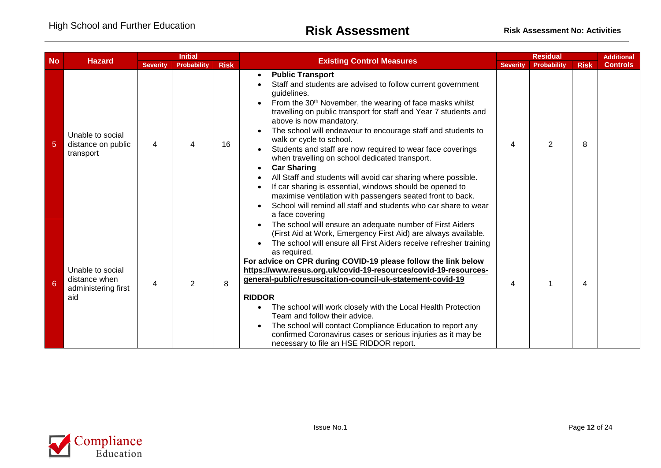| <b>No</b>       | <b>Hazard</b>                                                   |                 | <b>Initial</b>     |             |                                                                                                                                                                                                                                                                                                                                                                                                                                                                                                                                                                                                                                                                                                                                                                                                 |                 | <b>Residual</b> |             | <b>Additional</b> |
|-----------------|-----------------------------------------------------------------|-----------------|--------------------|-------------|-------------------------------------------------------------------------------------------------------------------------------------------------------------------------------------------------------------------------------------------------------------------------------------------------------------------------------------------------------------------------------------------------------------------------------------------------------------------------------------------------------------------------------------------------------------------------------------------------------------------------------------------------------------------------------------------------------------------------------------------------------------------------------------------------|-----------------|-----------------|-------------|-------------------|
|                 |                                                                 | <b>Severity</b> | <b>Probability</b> | <b>Risk</b> | <b>Existing Control Measures</b>                                                                                                                                                                                                                                                                                                                                                                                                                                                                                                                                                                                                                                                                                                                                                                | <b>Severity</b> | Probability     | <b>Risk</b> | <b>Controls</b>   |
| $\overline{5}$  | Unable to social<br>distance on public<br>transport             | 4               | 4                  | 16          | <b>Public Transport</b><br>Staff and students are advised to follow current government<br>guidelines.<br>From the 30 <sup>th</sup> November, the wearing of face masks whilst<br>travelling on public transport for staff and Year 7 students and<br>above is now mandatory.<br>The school will endeavour to encourage staff and students to<br>walk or cycle to school.<br>Students and staff are now required to wear face coverings<br>when travelling on school dedicated transport.<br><b>Car Sharing</b><br>All Staff and students will avoid car sharing where possible.<br>If car sharing is essential, windows should be opened to<br>maximise ventilation with passengers seated front to back.<br>School will remind all staff and students who car share to wear<br>a face covering | 4               | 2               | 8           |                   |
| $6\phantom{1}6$ | Unable to social<br>distance when<br>administering first<br>aid | 4               | $\overline{2}$     | 8           | The school will ensure an adequate number of First Aiders<br>(First Aid at Work, Emergency First Aid) are always available.<br>The school will ensure all First Aiders receive refresher training<br>as required.<br>For advice on CPR during COVID-19 please follow the link below<br>https://www.resus.org.uk/covid-19-resources/covid-19-resources-<br>general-public/resuscitation-council-uk-statement-covid-19<br><b>RIDDOR</b><br>The school will work closely with the Local Health Protection<br>Team and follow their advice.<br>The school will contact Compliance Education to report any<br>confirmed Coronavirus cases or serious injuries as it may be<br>necessary to file an HSE RIDDOR report.                                                                                | 4               |                 | 4           |                   |

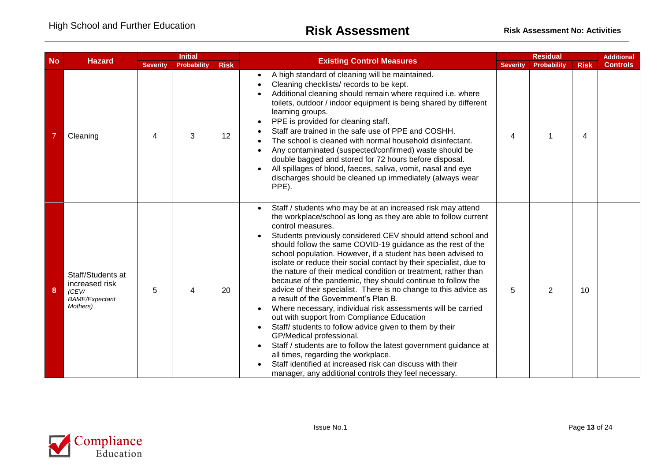| <b>No</b> |                                                                                   |                 | <b>Initial</b>     |             |                                                                                                                                                                                                                                                                                                                                                                                                                                                                                                                                                                                                                                                                                                                                                                                                                                                                                                                                                                                                                                                                                                             |                          | <b>Residual</b>    |             | <b>Additional</b> |
|-----------|-----------------------------------------------------------------------------------|-----------------|--------------------|-------------|-------------------------------------------------------------------------------------------------------------------------------------------------------------------------------------------------------------------------------------------------------------------------------------------------------------------------------------------------------------------------------------------------------------------------------------------------------------------------------------------------------------------------------------------------------------------------------------------------------------------------------------------------------------------------------------------------------------------------------------------------------------------------------------------------------------------------------------------------------------------------------------------------------------------------------------------------------------------------------------------------------------------------------------------------------------------------------------------------------------|--------------------------|--------------------|-------------|-------------------|
|           | <b>Hazard</b>                                                                     | <b>Severity</b> | <b>Probability</b> | <b>Risk</b> | <b>Existing Control Measures</b><br><b>Severity</b>                                                                                                                                                                                                                                                                                                                                                                                                                                                                                                                                                                                                                                                                                                                                                                                                                                                                                                                                                                                                                                                         |                          | <b>Probability</b> | <b>Risk</b> | <b>Controls</b>   |
|           | Cleaning                                                                          | 4               | 3                  | 12          | A high standard of cleaning will be maintained.<br>$\bullet$<br>Cleaning checklists/ records to be kept.<br>Additional cleaning should remain where required i.e. where<br>toilets, outdoor / indoor equipment is being shared by different<br>learning groups.<br>PPE is provided for cleaning staff.<br>Staff are trained in the safe use of PPE and COSHH.<br>The school is cleaned with normal household disinfectant.<br>Any contaminated (suspected/confirmed) waste should be<br>double bagged and stored for 72 hours before disposal.<br>All spillages of blood, faeces, saliva, vomit, nasal and eye<br>discharges should be cleaned up immediately (always wear<br>PPE).                                                                                                                                                                                                                                                                                                                                                                                                                         | $\overline{\mathcal{A}}$ |                    | 4           |                   |
| 8         | Staff/Students at<br>increased risk<br>(CEV/<br><b>BAME/Expectant</b><br>Mothers) | 5               | 4                  | 20          | Staff / students who may be at an increased risk may attend<br>the workplace/school as long as they are able to follow current<br>control measures.<br>Students previously considered CEV should attend school and<br>should follow the same COVID-19 guidance as the rest of the<br>school population. However, if a student has been advised to<br>isolate or reduce their social contact by their specialist, due to<br>the nature of their medical condition or treatment, rather than<br>because of the pandemic, they should continue to follow the<br>advice of their specialist. There is no change to this advice as<br>a result of the Government's Plan B.<br>Where necessary, individual risk assessments will be carried<br>out with support from Compliance Education<br>Staff/ students to follow advice given to them by their<br>GP/Medical professional.<br>Staff / students are to follow the latest government guidance at<br>all times, regarding the workplace.<br>Staff identified at increased risk can discuss with their<br>manager, any additional controls they feel necessary. | 5                        | $\overline{2}$     | 10          |                   |

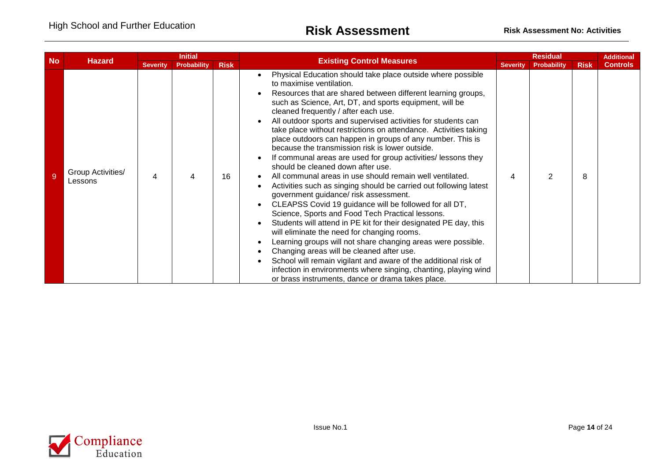| <b>No</b> | <b>Hazard</b>                |                 | <b>Initial</b>     |             |                                                                                                                                                                                                                                                                                                                                                                                                                                                                                                                                                                                                                                                                                                                                                                                                                                                                                                                                                                                                                                                                                                                                                                                                                                                                                                                                           |                 | <b>Residual</b>    |             | <b>Additional</b> |
|-----------|------------------------------|-----------------|--------------------|-------------|-------------------------------------------------------------------------------------------------------------------------------------------------------------------------------------------------------------------------------------------------------------------------------------------------------------------------------------------------------------------------------------------------------------------------------------------------------------------------------------------------------------------------------------------------------------------------------------------------------------------------------------------------------------------------------------------------------------------------------------------------------------------------------------------------------------------------------------------------------------------------------------------------------------------------------------------------------------------------------------------------------------------------------------------------------------------------------------------------------------------------------------------------------------------------------------------------------------------------------------------------------------------------------------------------------------------------------------------|-----------------|--------------------|-------------|-------------------|
|           |                              | <b>Severity</b> | <b>Probability</b> | <b>Risk</b> | <b>Existing Control Measures</b>                                                                                                                                                                                                                                                                                                                                                                                                                                                                                                                                                                                                                                                                                                                                                                                                                                                                                                                                                                                                                                                                                                                                                                                                                                                                                                          | <b>Severity</b> | <b>Probability</b> | <b>Risk</b> | <b>Controls</b>   |
|           | Group Activities/<br>Lessons | 4               | 4                  | 16          | Physical Education should take place outside where possible<br>to maximise ventilation.<br>Resources that are shared between different learning groups,<br>such as Science, Art, DT, and sports equipment, will be<br>cleaned frequently / after each use.<br>All outdoor sports and supervised activities for students can<br>take place without restrictions on attendance. Activities taking<br>place outdoors can happen in groups of any number. This is<br>because the transmission risk is lower outside.<br>If communal areas are used for group activities/ lessons they<br>should be cleaned down after use.<br>All communal areas in use should remain well ventilated.<br>Activities such as singing should be carried out following latest<br>government guidance/ risk assessment.<br>CLEAPSS Covid 19 guidance will be followed for all DT,<br>Science, Sports and Food Tech Practical lessons.<br>Students will attend in PE kit for their designated PE day, this<br>will eliminate the need for changing rooms.<br>Learning groups will not share changing areas were possible.<br>Changing areas will be cleaned after use.<br>School will remain vigilant and aware of the additional risk of<br>infection in environments where singing, chanting, playing wind<br>or brass instruments, dance or drama takes place. |                 | っ                  | 8           |                   |

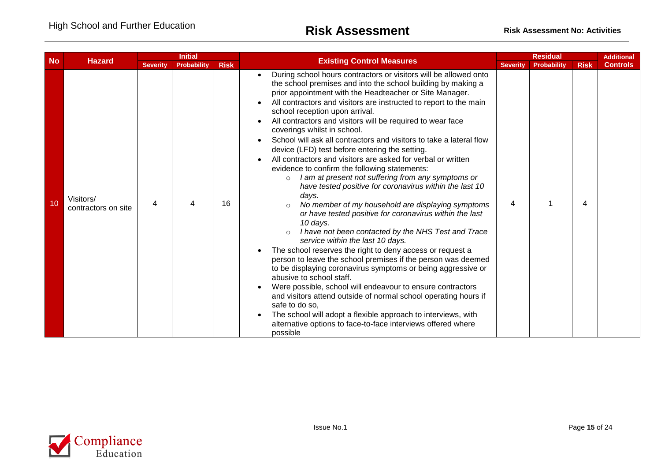| <b>No</b> |                                  |                 | <b>Initial</b>     |             |                                                                                                                                                                                                                                                                                                                                                                                                                                                                                                                                                                                                                                                                                                                                                                                                                                                                                                                                                                                                                                                                                                                                                                                                                                                                                                                                                                                                                                                                                                                                           |                 | <b>Residual</b> |             | <b>Additional</b> |
|-----------|----------------------------------|-----------------|--------------------|-------------|-------------------------------------------------------------------------------------------------------------------------------------------------------------------------------------------------------------------------------------------------------------------------------------------------------------------------------------------------------------------------------------------------------------------------------------------------------------------------------------------------------------------------------------------------------------------------------------------------------------------------------------------------------------------------------------------------------------------------------------------------------------------------------------------------------------------------------------------------------------------------------------------------------------------------------------------------------------------------------------------------------------------------------------------------------------------------------------------------------------------------------------------------------------------------------------------------------------------------------------------------------------------------------------------------------------------------------------------------------------------------------------------------------------------------------------------------------------------------------------------------------------------------------------------|-----------------|-----------------|-------------|-------------------|
|           | <b>Hazard</b>                    | <b>Severity</b> | <b>Probability</b> | <b>Risk</b> | <b>Existing Control Measures</b>                                                                                                                                                                                                                                                                                                                                                                                                                                                                                                                                                                                                                                                                                                                                                                                                                                                                                                                                                                                                                                                                                                                                                                                                                                                                                                                                                                                                                                                                                                          | <b>Severity</b> | Probability     | <b>Risk</b> | <b>Controls</b>   |
| 10        | Visitors/<br>contractors on site | 4               | 4                  | 16          | During school hours contractors or visitors will be allowed onto<br>the school premises and into the school building by making a<br>prior appointment with the Headteacher or Site Manager.<br>All contractors and visitors are instructed to report to the main<br>school reception upon arrival.<br>All contractors and visitors will be required to wear face<br>coverings whilst in school.<br>School will ask all contractors and visitors to take a lateral flow<br>device (LFD) test before entering the setting.<br>All contractors and visitors are asked for verbal or written<br>evidence to confirm the following statements:<br>I am at present not suffering from any symptoms or<br>$\circ$<br>have tested positive for coronavirus within the last 10<br>days.<br>No member of my household are displaying symptoms<br>or have tested positive for coronavirus within the last<br>10 days.<br>I have not been contacted by the NHS Test and Trace<br>$\circ$<br>service within the last 10 days.<br>The school reserves the right to deny access or request a<br>person to leave the school premises if the person was deemed<br>to be displaying coronavirus symptoms or being aggressive or<br>abusive to school staff.<br>Were possible, school will endeavour to ensure contractors<br>and visitors attend outside of normal school operating hours if<br>safe to do so,<br>The school will adopt a flexible approach to interviews, with<br>alternative options to face-to-face interviews offered where<br>possible | 4               |                 | 4           |                   |

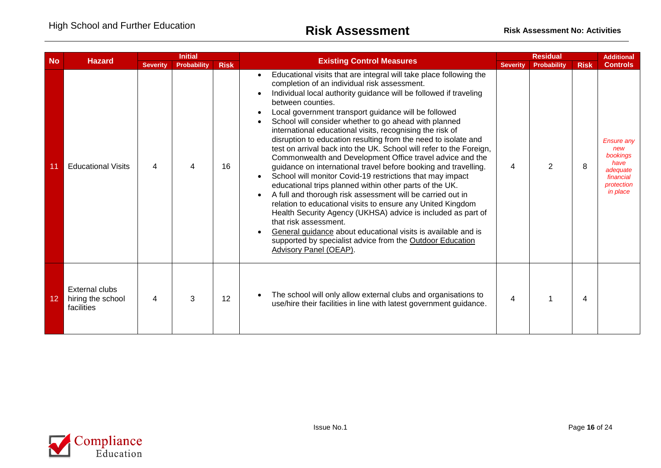| <b>No</b> |                                                          |                 | <b>Initial</b>     |             |                                                                                                                                                                                                                                                                                                                                                                                                                                                                                                                                                                                                                                                                                                                                                                                                                                                                                                                                                                                                                                                                                                                                                                                  |                 | <b>Residual</b>    |             |                                                                                                 |
|-----------|----------------------------------------------------------|-----------------|--------------------|-------------|----------------------------------------------------------------------------------------------------------------------------------------------------------------------------------------------------------------------------------------------------------------------------------------------------------------------------------------------------------------------------------------------------------------------------------------------------------------------------------------------------------------------------------------------------------------------------------------------------------------------------------------------------------------------------------------------------------------------------------------------------------------------------------------------------------------------------------------------------------------------------------------------------------------------------------------------------------------------------------------------------------------------------------------------------------------------------------------------------------------------------------------------------------------------------------|-----------------|--------------------|-------------|-------------------------------------------------------------------------------------------------|
|           | <b>Hazard</b>                                            | <b>Severity</b> | <b>Probability</b> | <b>Risk</b> | <b>Existing Control Measures</b>                                                                                                                                                                                                                                                                                                                                                                                                                                                                                                                                                                                                                                                                                                                                                                                                                                                                                                                                                                                                                                                                                                                                                 | <b>Severity</b> | <b>Probability</b> | <b>Risk</b> | <b>Controls</b>                                                                                 |
|           | <b>Educational Visits</b>                                | 4               | 4                  | 16          | Educational visits that are integral will take place following the<br>completion of an individual risk assessment.<br>Individual local authority guidance will be followed if traveling<br>between counties.<br>Local government transport guidance will be followed<br>School will consider whether to go ahead with planned<br>international educational visits, recognising the risk of<br>disruption to education resulting from the need to isolate and<br>test on arrival back into the UK. School will refer to the Foreign,<br>Commonwealth and Development Office travel advice and the<br>guidance on international travel before booking and travelling.<br>School will monitor Covid-19 restrictions that may impact<br>educational trips planned within other parts of the UK.<br>A full and thorough risk assessment will be carried out in<br>relation to educational visits to ensure any United Kingdom<br>Health Security Agency (UKHSA) advice is included as part of<br>that risk assessment.<br>General guidance about educational visits is available and is<br>supported by specialist advice from the Outdoor Education<br><b>Advisory Panel (OEAP).</b> | 4               | 2                  | 8           | <b>Ensure any</b><br>new<br>bookings<br>have<br>adequate<br>financial<br>protection<br>in place |
| 12        | <b>External clubs</b><br>hiring the school<br>facilities | 4               | 3                  | 12          | The school will only allow external clubs and organisations to<br>use/hire their facilities in line with latest government guidance.                                                                                                                                                                                                                                                                                                                                                                                                                                                                                                                                                                                                                                                                                                                                                                                                                                                                                                                                                                                                                                             | 4               |                    | 4           |                                                                                                 |

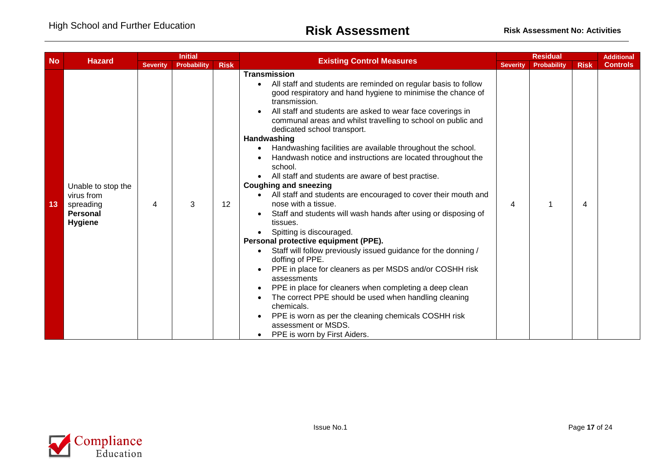| <b>No</b> | <b>Hazard</b>                                                               |                 | <b>Initial</b> |             |                                                                                                                                                                                                                                                                                                                                                                                                                                                                                                                                                                                                                                                                                                                                                                                                                                                                                                                                                                                                                                                                                                                                                                                                                                            |                 | <b>Residual</b> |             | <b>Additional</b> |
|-----------|-----------------------------------------------------------------------------|-----------------|----------------|-------------|--------------------------------------------------------------------------------------------------------------------------------------------------------------------------------------------------------------------------------------------------------------------------------------------------------------------------------------------------------------------------------------------------------------------------------------------------------------------------------------------------------------------------------------------------------------------------------------------------------------------------------------------------------------------------------------------------------------------------------------------------------------------------------------------------------------------------------------------------------------------------------------------------------------------------------------------------------------------------------------------------------------------------------------------------------------------------------------------------------------------------------------------------------------------------------------------------------------------------------------------|-----------------|-----------------|-------------|-------------------|
|           |                                                                             | <b>Severity</b> | Probability    | <b>Risk</b> | <b>Existing Control Measures</b>                                                                                                                                                                                                                                                                                                                                                                                                                                                                                                                                                                                                                                                                                                                                                                                                                                                                                                                                                                                                                                                                                                                                                                                                           | <b>Severity</b> | Probability     | <b>Risk</b> | <b>Controls</b>   |
| 13        | Unable to stop the<br>virus from<br>spreading<br>Personal<br><b>Hygiene</b> | 4               | 3              | 12          | <b>Transmission</b><br>All staff and students are reminded on regular basis to follow<br>good respiratory and hand hygiene to minimise the chance of<br>transmission.<br>All staff and students are asked to wear face coverings in<br>communal areas and whilst travelling to school on public and<br>dedicated school transport.<br>Handwashing<br>Handwashing facilities are available throughout the school.<br>Handwash notice and instructions are located throughout the<br>school.<br>All staff and students are aware of best practise.<br><b>Coughing and sneezing</b><br>All staff and students are encouraged to cover their mouth and<br>nose with a tissue.<br>Staff and students will wash hands after using or disposing of<br>tissues.<br>Spitting is discouraged.<br>Personal protective equipment (PPE).<br>Staff will follow previously issued guidance for the donning /<br>doffing of PPE.<br>PPE in place for cleaners as per MSDS and/or COSHH risk<br>assessments<br>PPE in place for cleaners when completing a deep clean<br>The correct PPE should be used when handling cleaning<br>chemicals.<br>PPE is worn as per the cleaning chemicals COSHH risk<br>assessment or MSDS.<br>PPE is worn by First Aiders. | 4               |                 | 4           |                   |

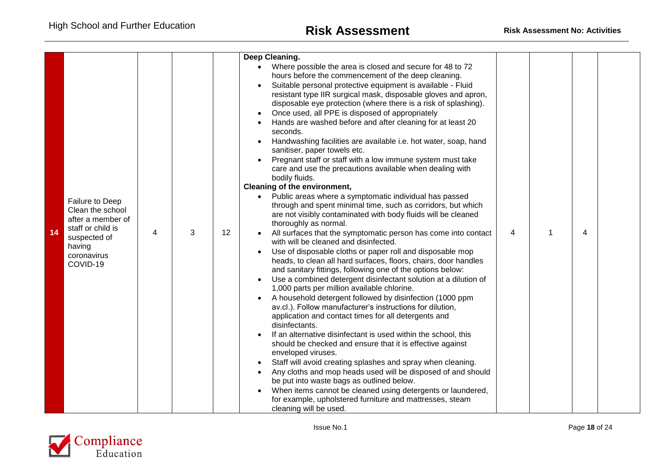|    |                                                                                                                                    |   |   |    | Deep Cleaning.                                                                                                                                                                                                                                                                                                                                                                                                                                                                                                                                                                                                                                                                                                                                                                                                                                                                                                                                                                                                                                                                                                                                                                                                                                                                                                                                                                                                                              |   |   |                |  |
|----|------------------------------------------------------------------------------------------------------------------------------------|---|---|----|---------------------------------------------------------------------------------------------------------------------------------------------------------------------------------------------------------------------------------------------------------------------------------------------------------------------------------------------------------------------------------------------------------------------------------------------------------------------------------------------------------------------------------------------------------------------------------------------------------------------------------------------------------------------------------------------------------------------------------------------------------------------------------------------------------------------------------------------------------------------------------------------------------------------------------------------------------------------------------------------------------------------------------------------------------------------------------------------------------------------------------------------------------------------------------------------------------------------------------------------------------------------------------------------------------------------------------------------------------------------------------------------------------------------------------------------|---|---|----------------|--|
| 14 | Failure to Deep<br>Clean the school<br>after a member of<br>staff or child is<br>suspected of<br>having<br>coronavirus<br>COVID-19 | 4 | 3 | 12 | Where possible the area is closed and secure for 48 to 72<br>hours before the commencement of the deep cleaning.<br>Suitable personal protective equipment is available - Fluid<br>resistant type IIR surgical mask, disposable gloves and apron,<br>disposable eye protection (where there is a risk of splashing).<br>Once used, all PPE is disposed of appropriately<br>Hands are washed before and after cleaning for at least 20<br>seconds.<br>Handwashing facilities are available i.e. hot water, soap, hand<br>sanitiser, paper towels etc.<br>Pregnant staff or staff with a low immune system must take<br>care and use the precautions available when dealing with<br>bodily fluids.<br>Cleaning of the environment,<br>Public areas where a symptomatic individual has passed<br>through and spent minimal time, such as corridors, but which<br>are not visibly contaminated with body fluids will be cleaned<br>thoroughly as normal.<br>All surfaces that the symptomatic person has come into contact<br>with will be cleaned and disinfected.<br>Use of disposable cloths or paper roll and disposable mop<br>heads, to clean all hard surfaces, floors, chairs, door handles<br>and sanitary fittings, following one of the options below:<br>Use a combined detergent disinfectant solution at a dilution of<br>1,000 parts per million available chlorine.<br>A household detergent followed by disinfection (1000 ppm | 4 | 1 | $\overline{4}$ |  |
|    |                                                                                                                                    |   |   |    | av.cl.). Follow manufacturer's instructions for dilution,<br>application and contact times for all detergents and<br>disinfectants.<br>If an alternative disinfectant is used within the school, this<br>should be checked and ensure that it is effective against<br>enveloped viruses.<br>Staff will avoid creating splashes and spray when cleaning.<br>Any cloths and mop heads used will be disposed of and should                                                                                                                                                                                                                                                                                                                                                                                                                                                                                                                                                                                                                                                                                                                                                                                                                                                                                                                                                                                                                     |   |   |                |  |
|    |                                                                                                                                    |   |   |    | be put into waste bags as outlined below.<br>When items cannot be cleaned using detergents or laundered,<br>for example, upholstered furniture and mattresses, steam<br>cleaning will be used.                                                                                                                                                                                                                                                                                                                                                                                                                                                                                                                                                                                                                                                                                                                                                                                                                                                                                                                                                                                                                                                                                                                                                                                                                                              |   |   |                |  |

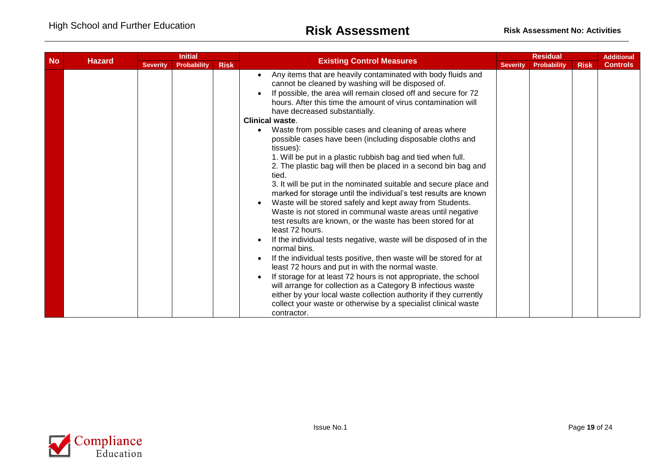| <b>No</b> |               |                 | <b>Initial</b>     |             |                                                                                                                                                                                                                                                                                                                                                                                                                                                                                                                                                                                                                                                                                                                                                                                                                                                                                                                                                                                                                                                                                                                                                                                                                                                                                                                                                                                                                                                           |                 | <b>Residual</b> |             | <b>Additional</b> |
|-----------|---------------|-----------------|--------------------|-------------|-----------------------------------------------------------------------------------------------------------------------------------------------------------------------------------------------------------------------------------------------------------------------------------------------------------------------------------------------------------------------------------------------------------------------------------------------------------------------------------------------------------------------------------------------------------------------------------------------------------------------------------------------------------------------------------------------------------------------------------------------------------------------------------------------------------------------------------------------------------------------------------------------------------------------------------------------------------------------------------------------------------------------------------------------------------------------------------------------------------------------------------------------------------------------------------------------------------------------------------------------------------------------------------------------------------------------------------------------------------------------------------------------------------------------------------------------------------|-----------------|-----------------|-------------|-------------------|
|           | <b>Hazard</b> | <b>Severity</b> | <b>Probability</b> | <b>Risk</b> | <b>Existing Control Measures</b>                                                                                                                                                                                                                                                                                                                                                                                                                                                                                                                                                                                                                                                                                                                                                                                                                                                                                                                                                                                                                                                                                                                                                                                                                                                                                                                                                                                                                          | <b>Severity</b> | Probability     | <b>Risk</b> | <b>Controls</b>   |
|           |               |                 |                    |             | Any items that are heavily contaminated with body fluids and<br>cannot be cleaned by washing will be disposed of.<br>If possible, the area will remain closed off and secure for 72<br>hours. After this time the amount of virus contamination will<br>have decreased substantially.<br><b>Clinical waste.</b><br>Waste from possible cases and cleaning of areas where<br>possible cases have been (including disposable cloths and<br>tissues):<br>1. Will be put in a plastic rubbish bag and tied when full.<br>2. The plastic bag will then be placed in a second bin bag and<br>tied.<br>3. It will be put in the nominated suitable and secure place and<br>marked for storage until the individual's test results are known<br>Waste will be stored safely and kept away from Students.<br>Waste is not stored in communal waste areas until negative<br>test results are known, or the waste has been stored for at<br>least 72 hours.<br>If the individual tests negative, waste will be disposed of in the<br>normal bins.<br>If the individual tests positive, then waste will be stored for at<br>least 72 hours and put in with the normal waste.<br>If storage for at least 72 hours is not appropriate, the school<br>will arrange for collection as a Category B infectious waste<br>either by your local waste collection authority if they currently<br>collect your waste or otherwise by a specialist clinical waste<br>contractor. |                 |                 |             |                   |

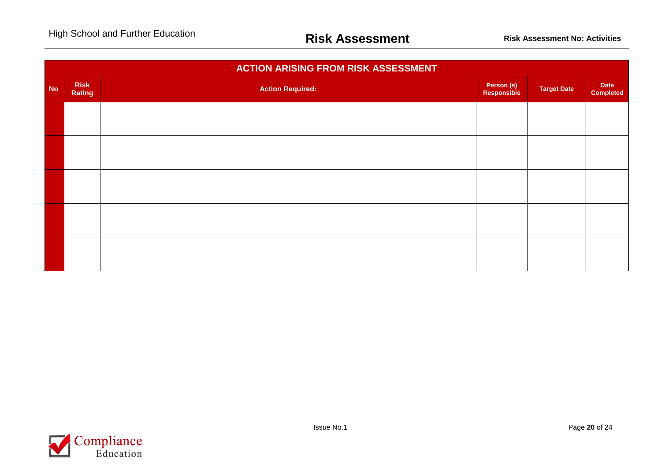|           |                       | <b>ACTION ARISING FROM RISK ASSESSMENT</b> |                           |                    |                          |
|-----------|-----------------------|--------------------------------------------|---------------------------|--------------------|--------------------------|
| <b>No</b> | <b>Risk</b><br>Rating | <b>Action Required:</b>                    | Person (s)<br>Responsible | <b>Target Date</b> | Date<br><b>Completed</b> |
|           |                       |                                            |                           |                    |                          |
|           |                       |                                            |                           |                    |                          |
|           |                       |                                            |                           |                    |                          |
|           |                       |                                            |                           |                    |                          |
|           |                       |                                            |                           |                    |                          |
|           |                       |                                            |                           |                    |                          |

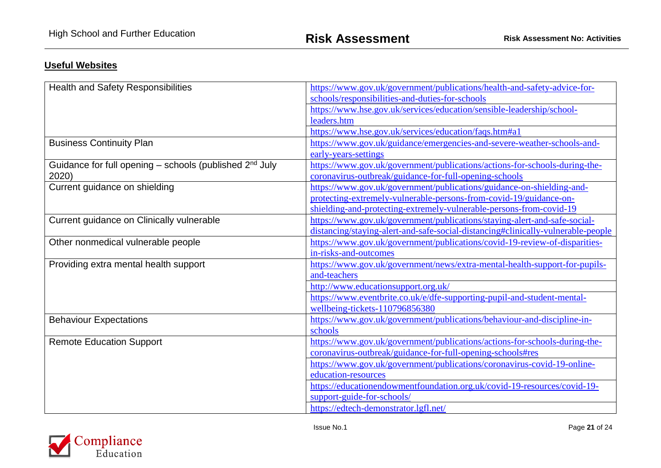## **Useful Websites**

| <b>Health and Safety Responsibilities</b>                           | https://www.gov.uk/government/publications/health-and-safety-advice-for-         |
|---------------------------------------------------------------------|----------------------------------------------------------------------------------|
|                                                                     | schools/responsibilities-and-duties-for-schools                                  |
|                                                                     | https://www.hse.gov.uk/services/education/sensible-leadership/school-            |
|                                                                     | leaders.htm                                                                      |
|                                                                     | https://www.hse.gov.uk/services/education/faqs.htm#a1                            |
| <b>Business Continuity Plan</b>                                     | https://www.gov.uk/guidance/emergencies-and-severe-weather-schools-and-          |
|                                                                     | early-years-settings                                                             |
| Guidance for full opening - schools (published 2 <sup>nd</sup> July | https://www.gov.uk/government/publications/actions-for-schools-during-the-       |
| 2020)                                                               | coronavirus-outbreak/guidance-for-full-opening-schools                           |
| Current guidance on shielding                                       | https://www.gov.uk/government/publications/guidance-on-shielding-and-            |
|                                                                     | protecting-extremely-vulnerable-persons-from-covid-19/guidance-on-               |
|                                                                     | shielding-and-protecting-extremely-vulnerable-persons-from-covid-19              |
| Current guidance on Clinically vulnerable                           | https://www.gov.uk/government/publications/staying-alert-and-safe-social-        |
|                                                                     | distancing/staying-alert-and-safe-social-distancing#clinically-vulnerable-people |
| Other nonmedical vulnerable people                                  | https://www.gov.uk/government/publications/covid-19-review-of-disparities-       |
|                                                                     | in-risks-and-outcomes                                                            |
| Providing extra mental health support                               | https://www.gov.uk/government/news/extra-mental-health-support-for-pupils-       |
|                                                                     | and-teachers                                                                     |
|                                                                     | http://www.educationsupport.org.uk/                                              |
|                                                                     | https://www.eventbrite.co.uk/e/dfe-supporting-pupil-and-student-mental-          |
|                                                                     | wellbeing-tickets-110796856380                                                   |
| <b>Behaviour Expectations</b>                                       | https://www.gov.uk/government/publications/behaviour-and-discipline-in-          |
|                                                                     | schools                                                                          |
| <b>Remote Education Support</b>                                     | https://www.gov.uk/government/publications/actions-for-schools-during-the-       |
|                                                                     | coronavirus-outbreak/guidance-for-full-opening-schools#res                       |
|                                                                     | https://www.gov.uk/government/publications/coronavirus-covid-19-online-          |
|                                                                     | education-resources                                                              |
|                                                                     | https://educationendowmentfoundation.org.uk/covid-19-resources/covid-19-         |
|                                                                     | support-guide-for-schools/                                                       |
|                                                                     | https://edtech-demonstrator.lgfl.net/                                            |

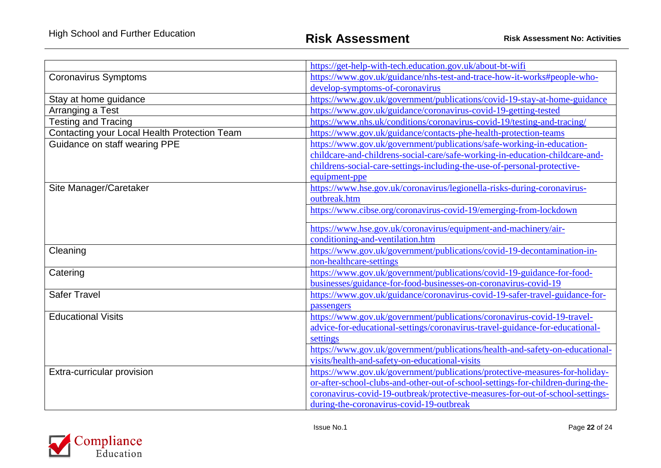|                                              | https://get-help-with-tech.education.gov.uk/about-bt-wifi                                           |
|----------------------------------------------|-----------------------------------------------------------------------------------------------------|
| <b>Coronavirus Symptoms</b>                  | https://www.gov.uk/guidance/nhs-test-and-trace-how-it-works#people-who-                             |
|                                              | develop-symptoms-of-coronavirus                                                                     |
| Stay at home guidance                        | https://www.gov.uk/government/publications/covid-19-stay-at-home-guidance                           |
| Arranging a Test                             | https://www.gov.uk/guidance/coronavirus-covid-19-getting-tested                                     |
| <b>Testing and Tracing</b>                   | https://www.nhs.uk/conditions/coronavirus-covid-19/testing-and-tracing/                             |
| Contacting your Local Health Protection Team | https://www.gov.uk/guidance/contacts-phe-health-protection-teams                                    |
| Guidance on staff wearing PPE                | https://www.gov.uk/government/publications/safe-working-in-education-                               |
|                                              | childcare-and-childrens-social-care/safe-working-in-education-childcare-and-                        |
|                                              | childrens-social-care-settings-including-the-use-of-personal-protective-                            |
|                                              | equipment-ppe                                                                                       |
| Site Manager/Caretaker                       | https://www.hse.gov.uk/coronavirus/legionella-risks-during-coronavirus-                             |
|                                              | outbreak.htm                                                                                        |
|                                              | https://www.cibse.org/coronavirus-covid-19/emerging-from-lockdown                                   |
|                                              |                                                                                                     |
|                                              | https://www.hse.gov.uk/coronavirus/equipment-and-machinery/air-<br>conditioning-and-ventilation.htm |
| Cleaning                                     | https://www.gov.uk/government/publications/covid-19-decontamination-in-                             |
|                                              | non-healthcare-settings                                                                             |
| Catering                                     | https://www.gov.uk/government/publications/covid-19-guidance-for-food-                              |
|                                              | businesses/guidance-for-food-businesses-on-coronavirus-covid-19                                     |
| <b>Safer Travel</b>                          | https://www.gov.uk/guidance/coronavirus-covid-19-safer-travel-guidance-for-                         |
|                                              | passengers                                                                                          |
| <b>Educational Visits</b>                    | https://www.gov.uk/government/publications/coronavirus-covid-19-travel-                             |
|                                              | advice-for-educational-settings/coronavirus-travel-guidance-for-educational-                        |
|                                              | settings                                                                                            |
|                                              | https://www.gov.uk/government/publications/health-and-safety-on-educational-                        |
|                                              | visits/health-and-safety-on-educational-visits                                                      |
| Extra-curricular provision                   | https://www.gov.uk/government/publications/protective-measures-for-holiday-                         |
|                                              | or-after-school-clubs-and-other-out-of-school-settings-for-children-during-the-                     |
|                                              | coronavirus-covid-19-outbreak/protective-measures-for-out-of-school-settings-                       |
|                                              | during-the-coronavirus-covid-19-outbreak                                                            |

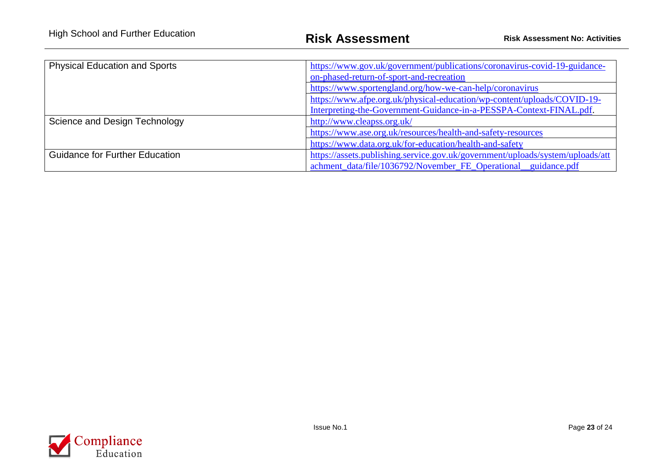| <b>Physical Education and Sports</b>  | https://www.gov.uk/government/publications/coronavirus-covid-19-guidance-      |  |  |  |
|---------------------------------------|--------------------------------------------------------------------------------|--|--|--|
|                                       | on-phased-return-of-sport-and-recreation                                       |  |  |  |
|                                       | https://www.sportengland.org/how-we-can-help/coronavirus                       |  |  |  |
|                                       | https://www.afpe.org.uk/physical-education/wp-content/uploads/COVID-19-        |  |  |  |
|                                       | Interpreting-the-Government-Guidance-in-a-PESSPA-Context-FINAL.pdf.            |  |  |  |
| Science and Design Technology         | http://www.cleapss.org.uk/                                                     |  |  |  |
|                                       | https://www.ase.org.uk/resources/health-and-safety-resources                   |  |  |  |
|                                       | https://www.data.org.uk/for-education/health-and-safety                        |  |  |  |
| <b>Guidance for Further Education</b> | https://assets.publishing.service.gov.uk/government/uploads/system/uploads/att |  |  |  |
|                                       | achment_data/file/1036792/November_FE_Operational_guidance.pdf                 |  |  |  |